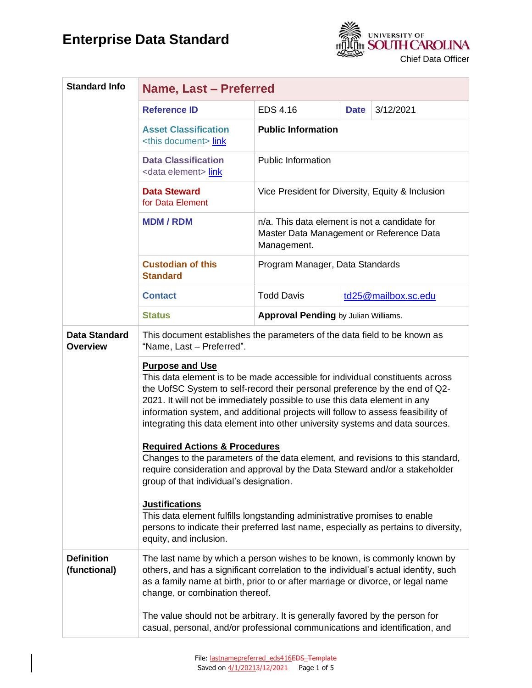

| <b>Standard Info</b>                    | Name, Last - Preferred                                                                                                                                                                                                                                                                                                                                                                                                                                                                                                                                                                                                                                |                                                                                                          |             |                     |
|-----------------------------------------|-------------------------------------------------------------------------------------------------------------------------------------------------------------------------------------------------------------------------------------------------------------------------------------------------------------------------------------------------------------------------------------------------------------------------------------------------------------------------------------------------------------------------------------------------------------------------------------------------------------------------------------------------------|----------------------------------------------------------------------------------------------------------|-------------|---------------------|
|                                         | <b>Reference ID</b>                                                                                                                                                                                                                                                                                                                                                                                                                                                                                                                                                                                                                                   | <b>EDS 4.16</b>                                                                                          | <b>Date</b> | 3/12/2021           |
|                                         | <b>Asset Classification</b><br><this document=""> link</this>                                                                                                                                                                                                                                                                                                                                                                                                                                                                                                                                                                                         | <b>Public Information</b>                                                                                |             |                     |
|                                         | <b>Data Classification</b><br><data element=""> link</data>                                                                                                                                                                                                                                                                                                                                                                                                                                                                                                                                                                                           | <b>Public Information</b>                                                                                |             |                     |
|                                         | <b>Data Steward</b><br>for Data Element                                                                                                                                                                                                                                                                                                                                                                                                                                                                                                                                                                                                               | Vice President for Diversity, Equity & Inclusion                                                         |             |                     |
|                                         | <b>MDM/RDM</b>                                                                                                                                                                                                                                                                                                                                                                                                                                                                                                                                                                                                                                        | n/a. This data element is not a candidate for<br>Master Data Management or Reference Data<br>Management. |             |                     |
|                                         | <b>Custodian of this</b><br><b>Standard</b>                                                                                                                                                                                                                                                                                                                                                                                                                                                                                                                                                                                                           | Program Manager, Data Standards                                                                          |             |                     |
|                                         | <b>Contact</b>                                                                                                                                                                                                                                                                                                                                                                                                                                                                                                                                                                                                                                        | <b>Todd Davis</b>                                                                                        |             | td25@mailbox.sc.edu |
|                                         | <b>Status</b>                                                                                                                                                                                                                                                                                                                                                                                                                                                                                                                                                                                                                                         | <b>Approval Pending by Julian Williams.</b>                                                              |             |                     |
| <b>Data Standard</b><br><b>Overview</b> | This document establishes the parameters of the data field to be known as<br>"Name, Last - Preferred".                                                                                                                                                                                                                                                                                                                                                                                                                                                                                                                                                |                                                                                                          |             |                     |
|                                         | <b>Purpose and Use</b><br>This data element is to be made accessible for individual constituents across<br>the UofSC System to self-record their personal preference by the end of Q2-<br>2021. It will not be immediately possible to use this data element in any<br>information system, and additional projects will follow to assess feasibility of<br>integrating this data element into other university systems and data sources.<br><b>Required Actions &amp; Procedures</b><br>Changes to the parameters of the data element, and revisions to this standard,<br>require consideration and approval by the Data Steward and/or a stakeholder |                                                                                                          |             |                     |
|                                         | group of that individual's designation.                                                                                                                                                                                                                                                                                                                                                                                                                                                                                                                                                                                                               |                                                                                                          |             |                     |
|                                         | <b>Justifications</b><br>This data element fulfills longstanding administrative promises to enable<br>persons to indicate their preferred last name, especially as pertains to diversity,<br>equity, and inclusion.                                                                                                                                                                                                                                                                                                                                                                                                                                   |                                                                                                          |             |                     |
| <b>Definition</b><br>(functional)       | The last name by which a person wishes to be known, is commonly known by<br>others, and has a significant correlation to the individual's actual identity, such<br>as a family name at birth, prior to or after marriage or divorce, or legal name<br>change, or combination thereof.                                                                                                                                                                                                                                                                                                                                                                 |                                                                                                          |             |                     |
|                                         | The value should not be arbitrary. It is generally favored by the person for<br>casual, personal, and/or professional communications and identification, and                                                                                                                                                                                                                                                                                                                                                                                                                                                                                          |                                                                                                          |             |                     |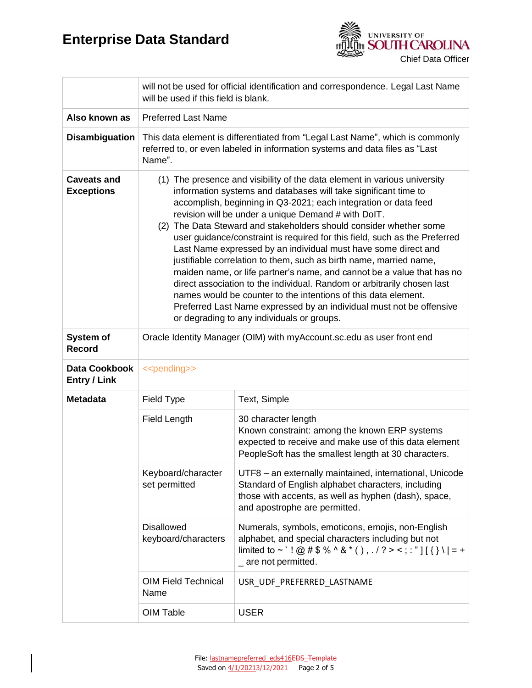

|                                         | will not be used for official identification and correspondence. Legal Last Name<br>will be used if this field is blank.                                                                                                                                                                                                                                                                                                                                                                                                                                                                                                                                                                                                                                                                                                                                                                                        |                                                                                                                                                                                                        |  |
|-----------------------------------------|-----------------------------------------------------------------------------------------------------------------------------------------------------------------------------------------------------------------------------------------------------------------------------------------------------------------------------------------------------------------------------------------------------------------------------------------------------------------------------------------------------------------------------------------------------------------------------------------------------------------------------------------------------------------------------------------------------------------------------------------------------------------------------------------------------------------------------------------------------------------------------------------------------------------|--------------------------------------------------------------------------------------------------------------------------------------------------------------------------------------------------------|--|
| Also known as                           | <b>Preferred Last Name</b>                                                                                                                                                                                                                                                                                                                                                                                                                                                                                                                                                                                                                                                                                                                                                                                                                                                                                      |                                                                                                                                                                                                        |  |
| <b>Disambiguation</b>                   | This data element is differentiated from "Legal Last Name", which is commonly<br>referred to, or even labeled in information systems and data files as "Last<br>Name".                                                                                                                                                                                                                                                                                                                                                                                                                                                                                                                                                                                                                                                                                                                                          |                                                                                                                                                                                                        |  |
| <b>Caveats and</b><br><b>Exceptions</b> | (1) The presence and visibility of the data element in various university<br>information systems and databases will take significant time to<br>accomplish, beginning in Q3-2021; each integration or data feed<br>revision will be under a unique Demand # with DoIT.<br>(2) The Data Steward and stakeholders should consider whether some<br>user guidance/constraint is required for this field, such as the Preferred<br>Last Name expressed by an individual must have some direct and<br>justifiable correlation to them, such as birth name, married name,<br>maiden name, or life partner's name, and cannot be a value that has no<br>direct association to the individual. Random or arbitrarily chosen last<br>names would be counter to the intentions of this data element.<br>Preferred Last Name expressed by an individual must not be offensive<br>or degrading to any individuals or groups. |                                                                                                                                                                                                        |  |
| System of<br><b>Record</b>              | Oracle Identity Manager (OIM) with myAccount.sc.edu as user front end                                                                                                                                                                                                                                                                                                                                                                                                                                                                                                                                                                                                                                                                                                                                                                                                                                           |                                                                                                                                                                                                        |  |
| Data Cookbook<br><b>Entry / Link</b>    | < <pending>&gt;</pending>                                                                                                                                                                                                                                                                                                                                                                                                                                                                                                                                                                                                                                                                                                                                                                                                                                                                                       |                                                                                                                                                                                                        |  |
| <b>Metadata</b>                         | Field Type                                                                                                                                                                                                                                                                                                                                                                                                                                                                                                                                                                                                                                                                                                                                                                                                                                                                                                      | Text, Simple                                                                                                                                                                                           |  |
|                                         | Field Length                                                                                                                                                                                                                                                                                                                                                                                                                                                                                                                                                                                                                                                                                                                                                                                                                                                                                                    | 30 character length<br>Known constraint: among the known ERP systems<br>expected to receive and make use of this data element<br>PeopleSoft has the smallest length at 30 characters.                  |  |
|                                         | Keyboard/character<br>set permitted                                                                                                                                                                                                                                                                                                                                                                                                                                                                                                                                                                                                                                                                                                                                                                                                                                                                             | UTF8 - an externally maintained, international, Unicode<br>Standard of English alphabet characters, including<br>those with accents, as well as hyphen (dash), space,<br>and apostrophe are permitted. |  |
|                                         | <b>Disallowed</b><br>keyboard/characters                                                                                                                                                                                                                                                                                                                                                                                                                                                                                                                                                                                                                                                                                                                                                                                                                                                                        | Numerals, symbols, emoticons, emojis, non-English<br>alphabet, and special characters including but not<br>limited to ~ `! @ # \$ % ^ & * (), . / ? > <; : "][{} \  = +<br>_ are not permitted.        |  |
|                                         | <b>OIM Field Technical</b><br>Name                                                                                                                                                                                                                                                                                                                                                                                                                                                                                                                                                                                                                                                                                                                                                                                                                                                                              | USR_UDF_PREFERRED_LASTNAME                                                                                                                                                                             |  |
|                                         | OIM Table                                                                                                                                                                                                                                                                                                                                                                                                                                                                                                                                                                                                                                                                                                                                                                                                                                                                                                       | <b>USER</b>                                                                                                                                                                                            |  |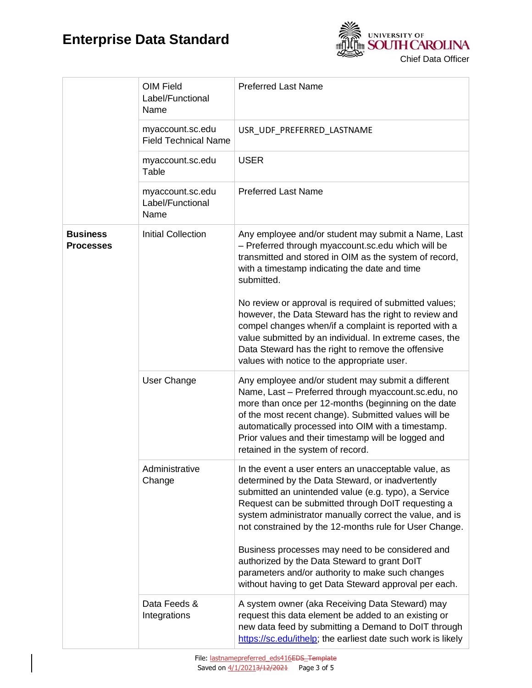

|                                     | OIM Field<br>Label/Functional<br>Name           | <b>Preferred Last Name</b>                                                                                                                                                                                                                                                                                                                                                 |  |
|-------------------------------------|-------------------------------------------------|----------------------------------------------------------------------------------------------------------------------------------------------------------------------------------------------------------------------------------------------------------------------------------------------------------------------------------------------------------------------------|--|
|                                     | myaccount.sc.edu<br><b>Field Technical Name</b> | USR_UDF_PREFERRED_LASTNAME                                                                                                                                                                                                                                                                                                                                                 |  |
|                                     | myaccount.sc.edu<br>Table                       | <b>USER</b>                                                                                                                                                                                                                                                                                                                                                                |  |
|                                     | myaccount.sc.edu<br>Label/Functional<br>Name    | <b>Preferred Last Name</b>                                                                                                                                                                                                                                                                                                                                                 |  |
| <b>Business</b><br><b>Processes</b> | <b>Initial Collection</b>                       | Any employee and/or student may submit a Name, Last<br>- Preferred through myaccount.sc.edu which will be<br>transmitted and stored in OIM as the system of record,<br>with a timestamp indicating the date and time<br>submitted.                                                                                                                                         |  |
|                                     |                                                 | No review or approval is required of submitted values;<br>however, the Data Steward has the right to review and<br>compel changes when/if a complaint is reported with a<br>value submitted by an individual. In extreme cases, the<br>Data Steward has the right to remove the offensive<br>values with notice to the appropriate user.                                   |  |
|                                     | User Change                                     | Any employee and/or student may submit a different<br>Name, Last - Preferred through myaccount.sc.edu, no<br>more than once per 12-months (beginning on the date<br>of the most recent change). Submitted values will be<br>automatically processed into OIM with a timestamp.<br>Prior values and their timestamp will be logged and<br>retained in the system of record. |  |
|                                     | Administrative<br>Change                        | In the event a user enters an unacceptable value, as<br>determined by the Data Steward, or inadvertently<br>submitted an unintended value (e.g. typo), a Service<br>Request can be submitted through DoIT requesting a<br>system administrator manually correct the value, and is<br>not constrained by the 12-months rule for User Change.                                |  |
|                                     |                                                 | Business processes may need to be considered and<br>authorized by the Data Steward to grant DoIT<br>parameters and/or authority to make such changes<br>without having to get Data Steward approval per each.                                                                                                                                                              |  |
|                                     | Data Feeds &<br>Integrations                    | A system owner (aka Receiving Data Steward) may<br>request this data element be added to an existing or<br>new data feed by submitting a Demand to DoIT through<br>https://sc.edu/ithelp; the earliest date such work is likely                                                                                                                                            |  |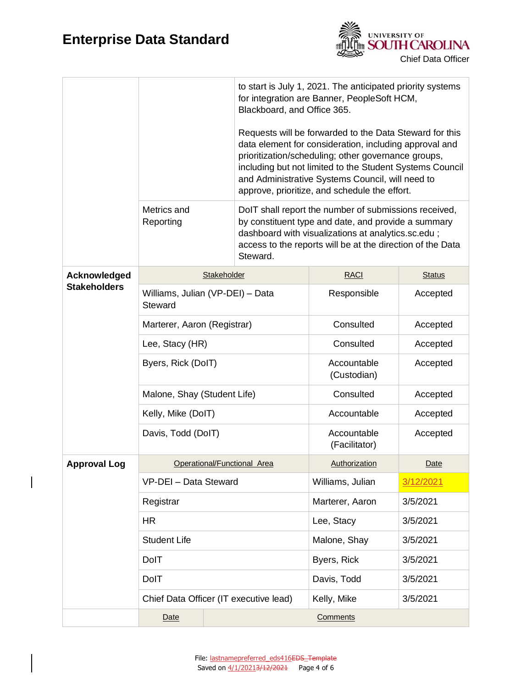$\begin{array}{c} \hline \end{array}$ 



|                     | Metrics and<br>Reporting                    |  | to start is July 1, 2021. The anticipated priority systems<br>for integration are Banner, PeopleSoft HCM,<br>Blackboard, and Office 365.<br>Requests will be forwarded to the Data Steward for this<br>data element for consideration, including approval and<br>prioritization/scheduling; other governance groups,<br>including but not limited to the Student Systems Council<br>and Administrative Systems Council, will need to<br>approve, prioritize, and schedule the effort.<br>DoIT shall report the number of submissions received,<br>by constituent type and date, and provide a summary<br>dashboard with visualizations at analytics.sc.edu;<br>access to the reports will be at the direction of the Data<br>Steward. |                      |      |
|---------------------|---------------------------------------------|--|---------------------------------------------------------------------------------------------------------------------------------------------------------------------------------------------------------------------------------------------------------------------------------------------------------------------------------------------------------------------------------------------------------------------------------------------------------------------------------------------------------------------------------------------------------------------------------------------------------------------------------------------------------------------------------------------------------------------------------------|----------------------|------|
| Acknowledged        | Stakeholder                                 |  | <b>RACI</b>                                                                                                                                                                                                                                                                                                                                                                                                                                                                                                                                                                                                                                                                                                                           | <b>Status</b>        |      |
| <b>Stakeholders</b> | Williams, Julian (VP-DEI) - Data<br>Steward |  | Responsible                                                                                                                                                                                                                                                                                                                                                                                                                                                                                                                                                                                                                                                                                                                           | Accepted             |      |
|                     | Marterer, Aaron (Registrar)                 |  | Consulted                                                                                                                                                                                                                                                                                                                                                                                                                                                                                                                                                                                                                                                                                                                             | Accepted             |      |
|                     | Lee, Stacy (HR)                             |  | Consulted                                                                                                                                                                                                                                                                                                                                                                                                                                                                                                                                                                                                                                                                                                                             | Accepted             |      |
|                     | Byers, Rick (DoIT)                          |  | Accountable<br>(Custodian)                                                                                                                                                                                                                                                                                                                                                                                                                                                                                                                                                                                                                                                                                                            | Accepted             |      |
|                     | Malone, Shay (Student Life)                 |  | Consulted                                                                                                                                                                                                                                                                                                                                                                                                                                                                                                                                                                                                                                                                                                                             | Accepted             |      |
|                     | Kelly, Mike (DoIT)                          |  | Accountable                                                                                                                                                                                                                                                                                                                                                                                                                                                                                                                                                                                                                                                                                                                           | Accepted             |      |
|                     | Davis, Todd (DoIT)                          |  | Accountable<br>(Facilitator)                                                                                                                                                                                                                                                                                                                                                                                                                                                                                                                                                                                                                                                                                                          | Accepted             |      |
| <b>Approval Log</b> | Operational/Functional Area                 |  |                                                                                                                                                                                                                                                                                                                                                                                                                                                                                                                                                                                                                                                                                                                                       | <b>Authorization</b> | Date |
|                     | VP-DEI - Data Steward                       |  | Williams, Julian                                                                                                                                                                                                                                                                                                                                                                                                                                                                                                                                                                                                                                                                                                                      | 3/12/2021            |      |
|                     | Registrar                                   |  | Marterer, Aaron                                                                                                                                                                                                                                                                                                                                                                                                                                                                                                                                                                                                                                                                                                                       | 3/5/2021             |      |
|                     | <b>HR</b>                                   |  | Lee, Stacy                                                                                                                                                                                                                                                                                                                                                                                                                                                                                                                                                                                                                                                                                                                            | 3/5/2021             |      |
|                     | <b>Student Life</b>                         |  | Malone, Shay                                                                                                                                                                                                                                                                                                                                                                                                                                                                                                                                                                                                                                                                                                                          | 3/5/2021             |      |
|                     | <b>DolT</b>                                 |  | Byers, Rick                                                                                                                                                                                                                                                                                                                                                                                                                                                                                                                                                                                                                                                                                                                           | 3/5/2021             |      |
|                     | DolT                                        |  | Davis, Todd<br>3/5/2021                                                                                                                                                                                                                                                                                                                                                                                                                                                                                                                                                                                                                                                                                                               |                      |      |
|                     | Chief Data Officer (IT executive lead)      |  | Kelly, Mike<br>3/5/2021                                                                                                                                                                                                                                                                                                                                                                                                                                                                                                                                                                                                                                                                                                               |                      |      |
|                     | Date                                        |  |                                                                                                                                                                                                                                                                                                                                                                                                                                                                                                                                                                                                                                                                                                                                       | <b>Comments</b>      |      |